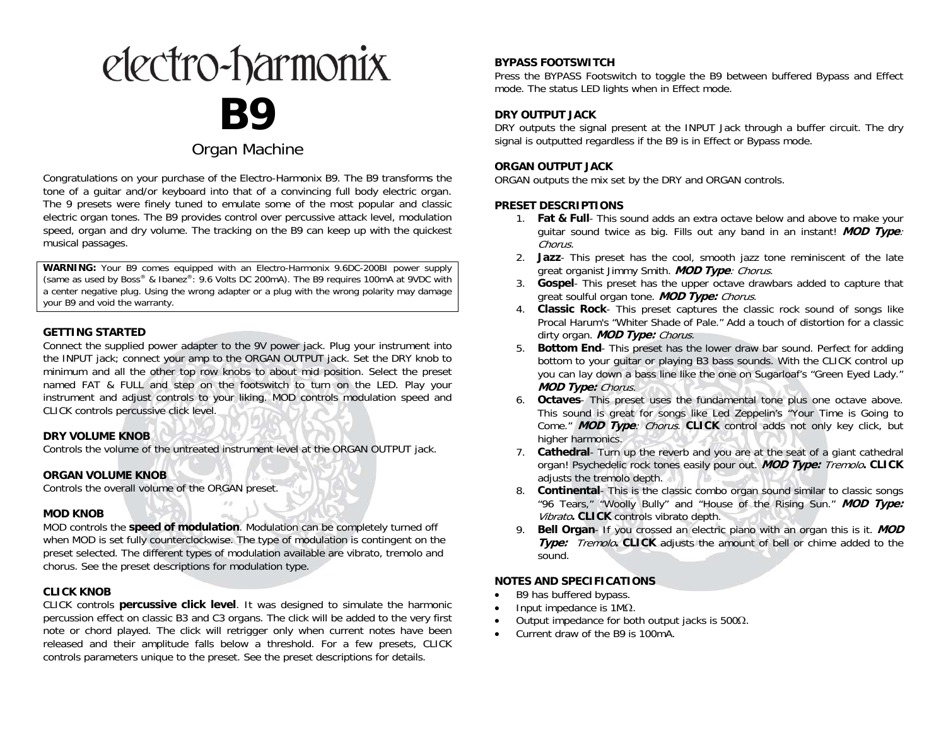# electro-harmonix **B9**

# Organ Machine

Congratulations on your purchase of the Electro-Harmonix B9. The B9 transforms the tone of a guitar and/or keyboard into that of a convincing full body electric organ. The 9 presets were finely tuned to emulate some of the most popular and classic electric organ tones. The B9 provides control over percussive attack level, modulation speed, organ and dry volume. The tracking on the B9 can keep up with the quickest musical passages.

**WARNING:** Your B9 comes equipped with an Electro-Harmonix 9.6DC-200BI power supply (same as used by Boss® & Ibanez®: 9.6 Volts DC 200mA). The B9 requires 100mA at 9VDC with a center negative plug. Using the wrong adapter or a plug with the wrong polarity may damage your B9 and void the warranty.

### **GETTING STARTED**

Connect the supplied power adapter to the 9V power jack. Plug your instrument into the INPUT jack; connect your amp to the ORGAN OUTPUT jack. Set the DRY knob to minimum and all the other top row knobs to about mid position. Select the preset named FAT & FULL and step on the footswitch to turn on the LED. Play your instrument and adjust controls to your liking. MOD controls modulation speed and CLICK controls percussive click level.

### **DRY VOLUME KNOB**

Controls the volume of the untreated instrument level at the ORGAN OUTPUT jack.

### **ORGAN VOLUME KNOB**

Controls the overall volume of the ORGAN preset.

#### **MOD KNOB**

MOD controls the **speed of modulation**. Modulation can be completely turned off when MOD is set fully counterclockwise. The type of modulation is contingent on the preset selected. The different types of modulation available are vibrato, tremolo and chorus. See the preset descriptions for modulation type.

# **CLICK KNOB**

CLICK controls **percussive click level**. It was designed to simulate the harmonic percussion effect on classic B3 and C3 organs. The click will be added to the very first note or chord played. The click will retrigger only when current notes have been released and their amplitude falls below a threshold. For a few presets, CLICK controls parameters unique to the preset. See the preset descriptions for details.

# **BYPASS FOOTSWITCH**

Press the BYPASS Footswitch to toggle the B9 between buffered Bypass and Effect mode. The status LED lights when in Effect mode.

# **DRY OUTPUT JACK**

DRY outputs the signal present at the INPUT Jack through a buffer circuit. The dry signal is outputted regardless if the B9 is in Effect or Bypass mode.

#### **ORGAN OUTPUT JACK**

ORGAN outputs the mix set by the DRY and ORGAN controls.

#### **PRESET DESCRIPTIONS**

- 1. **Fat & Full** This sound adds an extra octave below and above to make your guitar sound twice as big. Fills out any band in an instant! **MOD Type**: Chorus.
- 2. **Jazz** This preset has the cool, smooth jazz tone reminiscent of the late great organist Jimmy Smith. **MOD Type**: Chorus.
- 3. **Gospel** This preset has the upper octave drawbars added to capture that great soulful organ tone. **MOD Type:** Chorus.
- 4. **Classic Rock** This preset captures the classic rock sound of songs like Procal Harum's "Whiter Shade of Pale." Add a touch of distortion for a classic dirty organ. **MOD Type:** Chorus.
- 5. **Bottom End** This preset has the lower draw bar sound. Perfect for adding bottom to your guitar or playing B3 bass sounds. With the CLICK control up you can lay down a bass line like the one on Sugarloaf's "Green Eyed Lady." **MOD Type:** Chorus.
- 6. **Octaves** This preset uses the fundamental tone plus one octave above. This sound is great for songs like Led Zeppelin's "Your Time is Going to Come." **MOD Type**: Chorus. **CLICK** control adds not only key click, but higher harmonics.
- 7. **Cathedral** Turn up the reverb and you are at the seat of a giant cathedral organ! Psychedelic rock tones easily pour out. **MOD Type:** Tremolo**. CLICK** adjusts the tremolo depth.
- 8. **Continental** This is the classic combo organ sound similar to classic songs "96 Tears," "Woolly Bully" and "House of the Rising Sun." **MOD Type:**  Vibrato**. CLICK** controls vibrato depth.
- 9. **Bell Organ**- If you crossed an electric piano with an organ this is it. **MOD Type:** Tremolo**. CLICK** adjusts the amount of bell or chime added to the sound.

### **NOTES AND SPECIFICATIONS**

- c B9 has buffered bypass.
- c • Input impedance is  $1M\Omega$ .
- c • Output impedance for both output jacks is  $500\Omega$ .
- c Current draw of the B9 is 100mA.